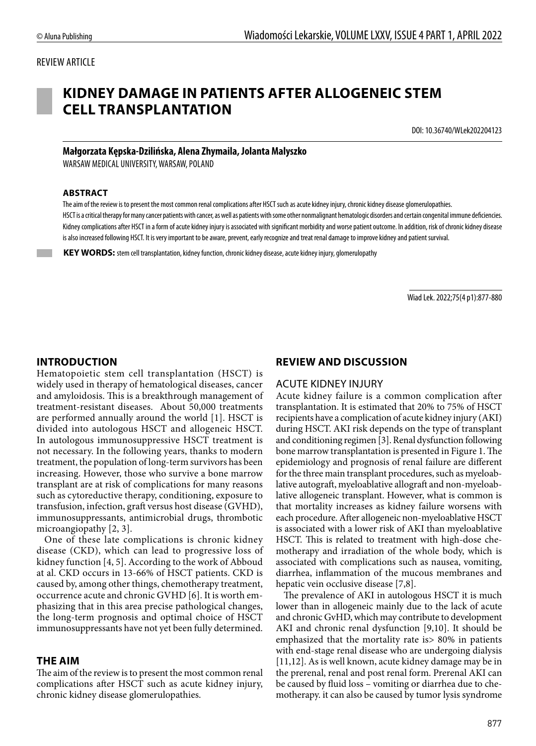### REVIEW ARTICLE



# **KIDNEY DAMAGE IN PATIENTS AFTER ALLOGENEIC STEM CELL TRANSPLANTATION**

DOI: 10.36740/WLek202204123

#### **Małgorzata Kępska-Dzilińska, Alena Zhymaila, Jolanta Malyszko**

WARSAW MEDICAL UNIVERSITY, WARSAW, POLAND

#### **ABSTRACT**

The aim of the review is to present the most common renal complications after HSCT such as acute kidney injury, chronic kidney disease glomerulopathies. HSCT is a critical therapy for many cancer patients with cancer, as well as patients with some other nonmalignant hematologic disorders and certain congenital immune deficiencies. Kidney complications after HSCT in a form of acute kidney injury is associated with significant morbidity and worse patient outcome. In addition, risk of chronic kidney disease is also increased following HSCT. It is very important to be aware, prevent, early recognize and treat renal damage to improve kidney and patient survival.

 **KEY WORDS:** stem cell transplantation, kidney function, chronic kidney disease, acute kidney injury, glomerulopathy

Wiad Lek. 2022;75(4 p1):877-880

#### **INTRODUCTION**

Hematopoietic stem cell transplantation (HSCT) is widely used in therapy of hematological diseases, cancer and amyloidosis. This is a breakthrough management of treatment-resistant diseases. About 50,000 treatments are performed annually around the world [1]. HSCT is divided into autologous HSCT and allogeneic HSCT. In autologous immunosuppressive HSCT treatment is not necessary. In the following years, thanks to modern treatment, the population of long-term survivors has been increasing. However, those who survive a bone marrow transplant are at risk of complications for many reasons such as cytoreductive therapy, conditioning, exposure to transfusion, infection, graft versus host disease (GVHD), immunosuppressants, antimicrobial drugs, thrombotic microangiopathy [2, 3].

One of these late complications is chronic kidney disease (CKD), which can lead to progressive loss of kidney function [4, 5]. According to the work of Abboud at al. CKD occurs in 13-66% of HSCT patients. CKD is caused by, among other things, chemotherapy treatment, occurrence acute and chronic GVHD [6]. It is worth emphasizing that in this area precise pathological changes, the long-term prognosis and optimal choice of HSCT immunosuppressants have not yet been fully determined.

#### **THE AIM**

The aim of the review is to present the most common renal complications after HSCT such as acute kidney injury, chronic kidney disease glomerulopathies.

### **REVIEW AND DISCUSSION**

#### ACUTE KIDNEY INJURY

Acute kidney failure is a common complication after transplantation. It is estimated that 20% to 75% of HSCT recipients have a complication of acute kidney injury (AKI) during HSCT. AKI risk depends on the type of transplant and conditioning regimen [3]. Renal dysfunction following bone marrow transplantation is presented in Figure 1. The epidemiology and prognosis of renal failure are different for the three main transplant procedures, such as myeloablative autograft, myeloablative allograft and non-myeloablative allogeneic transplant. However, what is common is that mortality increases as kidney failure worsens with each procedure. After allogeneic non-myeloablative HSCT is associated with a lower risk of AKI than myeloablative HSCT. This is related to treatment with high-dose chemotherapy and irradiation of the whole body, which is associated with complications such as nausea, vomiting, diarrhea, inflammation of the mucous membranes and hepatic vein occlusive disease [7,8].

The prevalence of AKI in autologous HSCT it is much lower than in allogeneic mainly due to the lack of acute and chronic GvHD, which may contribute to development AKI and chronic renal dysfunction [9,10]. It should be emphasized that the mortality rate is> 80% in patients with end-stage renal disease who are undergoing dialysis [11,12]. As is well known, acute kidney damage may be in the prerenal, renal and post renal form. Prerenal AKI can be caused by fluid loss – vomiting or diarrhea due to chemotherapy. it can also be caused by tumor lysis syndrome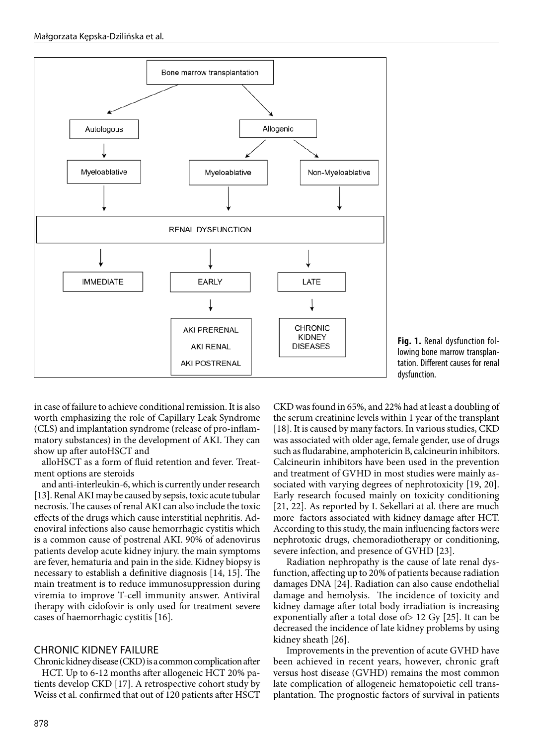

**Fig. 1.** Renal dysfunction following bone marrow transplantation. Different causes for renal dysfunction.

in case of failure to achieve conditional remission. It is also worth emphasizing the role of Capillary Leak Syndrome (CLS) and implantation syndrome (release of pro-inflammatory substances) in the development of AKI. They can show up after autoHSCT and

alloHSCT as a form of fluid retention and fever. Treatment options are steroids

and anti-interleukin-6, which is currently under research [13]. Renal AKI may be caused by sepsis, toxic acute tubular necrosis. The causes of renal AKI can also include the toxic effects of the drugs which cause interstitial nephritis. Adenoviral infections also cause hemorrhagic cystitis which is a common cause of postrenal AKI. 90% of adenovirus patients develop acute kidney injury. the main symptoms are fever, hematuria and pain in the side. Kidney biopsy is necessary to establish a definitive diagnosis [14, 15]. The main treatment is to reduce immunosuppression during viremia to improve T-cell immunity answer. Antiviral therapy with cidofovir is only used for treatment severe cases of haemorrhagic cystitis [16].

## CHRONIC KIDNEY FAILURE

Chronic kidney disease (CKD) is a common complication after HCT. Up to 6-12 months after allogeneic HCT 20% patients develop CKD [17]. A retrospective cohort study by Weiss et al. confirmed that out of 120 patients after HSCT CKD was found in 65%, and 22% had at least a doubling of the serum creatinine levels within 1 year of the transplant [18]. It is caused by many factors. In various studies, CKD was associated with older age, female gender, use of drugs such as fludarabine, amphotericin B, calcineurin inhibitors. Calcineurin inhibitors have been used in the prevention and treatment of GVHD in most studies were mainly associated with varying degrees of nephrotoxicity [19, 20]. Early research focused mainly on toxicity conditioning [21, 22]. As reported by I. Sekellari at al. there are much more factors associated with kidney damage after HCT. According to this study, the main influencing factors were nephrotoxic drugs, chemoradiotherapy or conditioning, severe infection, and presence of GVHD [23].

Radiation nephropathy is the cause of late renal dysfunction, affecting up to 20% of patients because radiation damages DNA [24]. Radiation can also cause endothelial damage and hemolysis. The incidence of toxicity and kidney damage after total body irradiation is increasing exponentially after a total dose of> 12 Gy [25]. It can be decreased the incidence of late kidney problems by using kidney sheath [26].

Improvements in the prevention of acute GVHD have been achieved in recent years, however, chronic graft versus host disease (GVHD) remains the most common late complication of allogeneic hematopoietic cell transplantation. The prognostic factors of survival in patients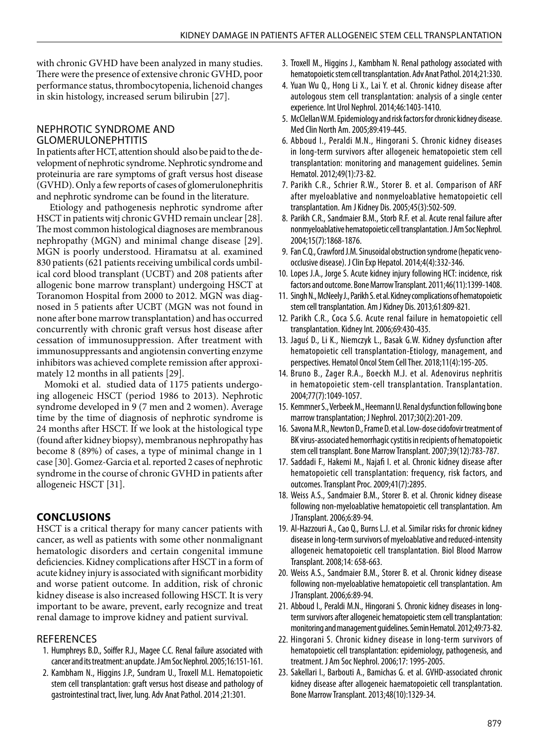with chronic GVHD have been analyzed in many studies. There were the presence of extensive chronic GVHD, poor performance status, thrombocytopenia, lichenoid changes in skin histology, increased serum bilirubin [27].

## NEPHROTIC SYNDROME AND GLOMERULONEPHTITIS

In patients after HCT, attention should also be paid to the development of nephrotic syndrome. Nephrotic syndrome and proteinuria are rare symptoms of graft versus host disease (GVHD). Only a few reports of cases of glomerulonephritis and nephrotic syndrome can be found in the literature.

Etiology and pathogenesis nephrotic syndrome after HSCT in patients witj chronic GVHD remain unclear [28]. The most common histological diagnoses are membranous nephropathy (MGN) and minimal change disease [29]. MGN is poorly understood. Hiramatsu at al. examined 830 patients (621 patients receiving umbilical cords umbilical cord blood transplant (UCBT) and 208 patients after allogenic bone marrow transplant) undergoing HSCT at Toranomon Hospital from 2000 to 2012. MGN was diagnosed in 5 patients after UCBT (MGN was not found in none after bone marrow transplantation) and has occurred concurrently with chronic graft versus host disease after cessation of immunosuppression. After treatment with immunosuppressants and angiotensin converting enzyme inhibitors was achieved complete remission after approximately 12 months in all patients [29].

Momoki et al. studied data of 1175 patients undergoing allogeneic HSCT (period 1986 to 2013). Nephrotic syndrome developed in 9 (7 men and 2 women). Average time by the time of diagnosis of nephrotic syndrome is 24 months after HSCT. If we look at the histological type (found after kidney biopsy), membranous nephropathy has become 8 (89%) of cases, a type of minimal change in 1 case [30]. Gomez-Garcia et al. reported 2 cases of nephrotic syndrome in the course of chronic GVHD in patients after allogeneic HSCT [31].

## **CONCLUSIONS**

HSCT is a critical therapy for many cancer patients with cancer, as well as patients with some other nonmalignant hematologic disorders and certain congenital immune deficiencies. Kidney complications after HSCT in a form of acute kidney injury is associated with significant morbidity and worse patient outcome. In addition, risk of chronic kidney disease is also increased following HSCT. It is very important to be aware, prevent, early recognize and treat renal damage to improve kidney and patient survival.

## **REFERENCES**

- 1. Humphreys B.D., Soiffer R.J., Magee C.C. Renal failure associated with cancer and its treatment: an update. J Am Soc Nephrol. 2005;16:151-161.
- 2. Kambham N., Higgins J.P., Sundram U., Troxell M.L. Hematopoietic stem cell transplantation: graft versus host disease and pathology of gastrointestinal tract, liver, lung. Adv Anat Pathol. 2014 ;21:301.
- 3. Troxell M., Higgins J., Kambham N. Renal pathology associated with hematopoietic stem cell transplantation. Adv Anat Pathol. 2014;21:330.
- 4. Yuan Wu Q., Hong Li X., Lai Y. et al. Chronic kidney disease after autologous stem cell transplantation: analysis of a single center experience. Int Urol Nephrol. 2014;46:1403-1410.
- 5. McClellan W.M. Epidemiology and risk factors for chronic kidney disease. Med Clin North Am. 2005;89:419-445.
- 6. Abboud I., Peraldi M.N., Hingorani S. Chronic kidney diseases in long-term survivors after allogeneic hematopoietic stem cell transplantation: monitoring and management guidelines. Semin Hematol. 2012;49(1):73-82.
- 7. Parikh C.R., Schrier R.W., Storer B. et al. Comparison of ARF after myeloablative and nonmyeloablative hematopoietic cell transplantation. Am J Kidney Dis. 2005;45(3):502-509.
- 8. Parikh C.R., Sandmaier B.M., Storb R.F. et al. Acute renal failure after nonmyeloablative hematopoietic cell transplantation. J Am Soc Nephrol. 2004;15(7):1868-1876.
- 9. Fan C.Q., Crawford J.M. Sinusoidal obstruction syndrome (hepatic venoocclusive disease). J Clin Exp Hepatol. 2014;4(4):332-346.
- 10. Lopes J.A., Jorge S. Acute kidney injury following HCT: incidence, risk factors and outcome. Bone Marrow Transplant. 2011;46(11):1399-1408.
- 11. Singh N., McNeely J., Parikh S. et al. Kidney complications of hematopoietic stem cell transplantation. Am J Kidney Dis. 2013;61:809-821.
- 12. Parikh C.R., Coca S.G. Acute renal failure in hematopoietic cell transplantation. Kidney Int. 2006;69:430-435.
- 13. Jaguś D., Li K., Niemczyk L., Basak G.W. Kidney dysfunction after hematopoietic cell transplantation-Etiology, management, and perspectives. Hematol Oncol Stem Cell Ther. 2018;11(4):195-205.
- 14. Bruno B., Zager R.A., Boeckh M.J. et al. Adenovirus nephritis in hematopoietic stem-cell transplantation. Transplantation. 2004;77(7):1049-1057.
- 15. Kemmner S., Verbeek M., Heemann U. Renal dysfunction following bone marrow transplantation; J Nephrol. 2017;30(2):201-209.
- 16. Savona M.R., Newton D., Frame D. et al. Low-dose cidofovir treatment of BK virus-associated hemorrhagic cystitis in recipients of hematopoietic stem cell transplant. Bone Marrow Transplant. 2007;39(12):783-787.
- 17. Saddadi F., Hakemi M., Najafi I. et al. Chronic kidney disease after hematopoietic cell transplantation: frequency, risk factors, and outcomes. Transplant Proc. 2009;41(7):2895.
- 18. Weiss A.S., Sandmaier B.M., Storer B. et al. Chronic kidney disease following non-myeloablative hematopoietic cell transplantation. Am J Transplant. 2006;6:89-94.
- 19. Al-Hazzouri A., Cao Q., Burns L.J. et al. Similar risks for chronic kidney disease in long-term survivors of myeloablative and reduced-intensity allogeneic hematopoietic cell transplantation. Biol Blood Marrow Transplant. 2008;14: 658-663.
- 20. Weiss A.S., Sandmaier B.M., Storer B. et al. Chronic kidney disease following non-myeloablative hematopoietic cell transplantation. Am J Transplant. 2006;6:89-94.
- 21. Abboud I., Peraldi M.N., Hingorani S. Chronic kidney diseases in longterm survivors after allogeneic hematopoietic stem cell transplantation: monitoring and management guidelines. Semin Hematol. 2012;49:73-82.
- 22. Hingorani S. Chronic kidney disease in long-term survivors of hematopoietic cell transplantation: epidemiology, pathogenesis, and treatment. J Am Soc Nephrol. 2006;17: 1995-2005.
- 23. Sakellari I., Barbouti A., Bamichas G. et al. GVHD-associated chronic kidney disease after allogeneic haematopoietic cell transplantation. Bone Marrow Transplant. 2013;48(10):1329-34.